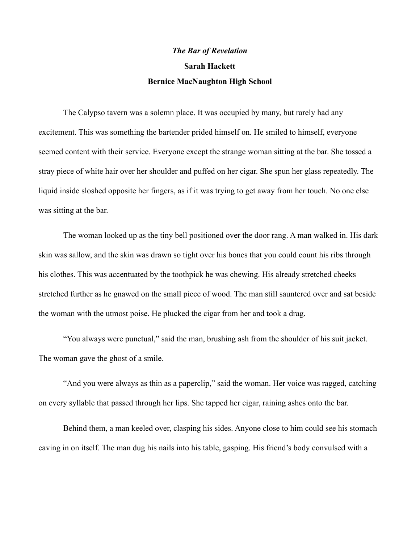## *The Bar of Revelation* **Sarah Hackett Bernice MacNaughton High School**

The Calypso tavern was a solemn place. It was occupied by many, but rarely had any excitement. This was something the bartender prided himself on. He smiled to himself, everyone seemed content with their service. Everyone except the strange woman sitting at the bar. She tossed a stray piece of white hair over her shoulder and puffed on her cigar. She spun her glass repeatedly. The liquid inside sloshed opposite her fingers, as if it was trying to get away from her touch. No one else was sitting at the bar.

The woman looked up as the tiny bell positioned over the door rang. A man walked in. His dark skin was sallow, and the skin was drawn so tight over his bones that you could count his ribs through his clothes. This was accentuated by the toothpick he was chewing. His already stretched cheeks stretched further as he gnawed on the small piece of wood. The man still sauntered over and sat beside the woman with the utmost poise. He plucked the cigar from her and took a drag.

"You always were punctual," said the man, brushing ash from the shoulder of his suit jacket. The woman gave the ghost of a smile.

"And you were always as thin as a paperclip," said the woman. Her voice was ragged, catching on every syllable that passed through her lips. She tapped her cigar, raining ashes onto the bar.

Behind them, a man keeled over, clasping his sides. Anyone close to him could see his stomach caving in on itself. The man dug his nails into his table, gasping. His friend's body convulsed with a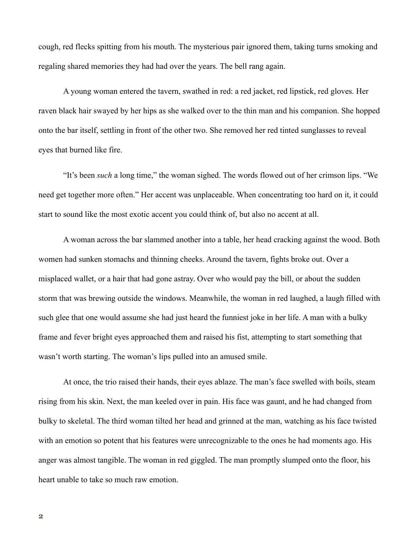cough, red flecks spitting from his mouth. The mysterious pair ignored them, taking turns smoking and regaling shared memories they had had over the years. The bell rang again.

A young woman entered the tavern, swathed in red: a red jacket, red lipstick, red gloves. Her raven black hair swayed by her hips as she walked over to the thin man and his companion. She hopped onto the bar itself, settling in front of the other two. She removed her red tinted sunglasses to reveal eyes that burned like fire.

"It's been *such* a long time," the woman sighed. The words flowed out of her crimson lips. "We need get together more often." Her accent was unplaceable. When concentrating too hard on it, it could start to sound like the most exotic accent you could think of, but also no accent at all.

A woman across the bar slammed another into a table, her head cracking against the wood. Both women had sunken stomachs and thinning cheeks. Around the tavern, fights broke out. Over a misplaced wallet, or a hair that had gone astray. Over who would pay the bill, or about the sudden storm that was brewing outside the windows. Meanwhile, the woman in red laughed, a laugh filled with such glee that one would assume she had just heard the funniest joke in her life. A man with a bulky frame and fever bright eyes approached them and raised his fist, attempting to start something that wasn't worth starting. The woman's lips pulled into an amused smile.

At once, the trio raised their hands, their eyes ablaze. The man's face swelled with boils, steam rising from his skin. Next, the man keeled over in pain. His face was gaunt, and he had changed from bulky to skeletal. The third woman tilted her head and grinned at the man, watching as his face twisted with an emotion so potent that his features were unrecognizable to the ones he had moments ago. His anger was almost tangible. The woman in red giggled. The man promptly slumped onto the floor, his heart unable to take so much raw emotion.